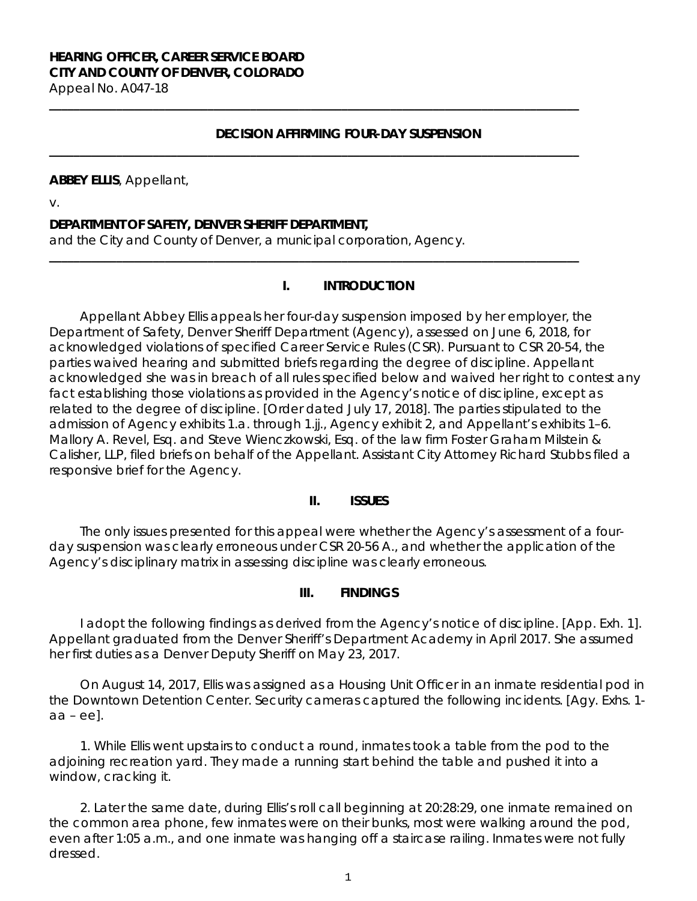### **HEARING OFFICER, CAREER SERVICE BOARD CITY AND COUNTY OF DENVER, COLORADO** Appeal No. A047-18

### **DECISION AFFIRMING FOUR-DAY SUSPENSION**

**\_\_\_\_\_\_\_\_\_\_\_\_\_\_\_\_\_\_\_\_\_\_\_\_\_\_\_\_\_\_\_\_\_\_\_\_\_\_\_\_\_\_\_\_\_\_\_\_\_\_\_\_\_\_\_\_\_\_\_\_\_\_\_\_\_\_\_\_\_\_\_\_\_\_\_\_\_\_\_\_\_\_\_\_\_\_\_**

**\_\_\_\_\_\_\_\_\_\_\_\_\_\_\_\_\_\_\_\_\_\_\_\_\_\_\_\_\_\_\_\_\_\_\_\_\_\_\_\_\_\_\_\_\_\_\_\_\_\_\_\_\_\_\_\_\_\_\_\_\_\_\_\_\_\_\_\_\_\_\_\_\_\_\_\_\_\_\_\_\_\_\_\_\_\_\_**

**\_\_\_\_\_\_\_\_\_\_\_\_\_\_\_\_\_\_\_\_\_\_\_\_\_\_\_\_\_\_\_\_\_\_\_\_\_\_\_\_\_\_\_\_\_\_\_\_\_\_\_\_\_\_\_\_\_\_\_\_\_\_\_\_\_\_\_\_\_\_\_\_\_\_\_\_\_\_\_\_\_\_\_\_\_\_\_**

#### **ABBEY ELLIS**, Appellant,

v.

### **DEPARTMENT OF SAFETY, DENVER SHERIFF DEPARTMENT,**

and the City and County of Denver, a municipal corporation, Agency.

#### **I. INTRODUCTION**

Appellant Abbey Ellis appeals her four-day suspension imposed by her employer, the Department of Safety, Denver Sheriff Department (Agency), assessed on June 6, 2018, for acknowledged violations of specified Career Service Rules (CSR). Pursuant to CSR 20-54, the parties waived hearing and submitted briefs regarding the degree of discipline. Appellant acknowledged she was in breach of all rules specified below and waived her right to contest any fact establishing those violations as provided in the Agency's notice of discipline, except as related to the degree of discipline. [Order dated July 17, 2018]. The parties stipulated to the admission of Agency exhibits 1.a. through 1.jj., Agency exhibit 2, and Appellant's exhibits 1-6. Mallory A. Revel, Esq. and Steve Wienczkowski, Esq. of the law firm Foster Graham Milstein & Calisher, LLP, filed briefs on behalf of the Appellant. Assistant City Attorney Richard Stubbs filed a responsive brief for the Agency.

## **II. ISSUES**

The only issues presented for this appeal were whether the Agency's assessment of a fourday suspension was clearly erroneous under CSR 20-56 A., and whether the application of the Agency's disciplinary matrix in assessing discipline was clearly erroneous.

#### **III. FINDINGS**

I adopt the following findings as derived from the Agency's notice of discipline. [App. Exh. 1]. Appellant graduated from the Denver Sheriff's Department Academy in April 2017. She assumed her first duties as a Denver Deputy Sheriff on May 23, 2017.

On August 14, 2017, Ellis was assigned as a Housing Unit Officer in an inmate residential pod in the Downtown Detention Center. Security cameras captured the following incidents. [Agy. Exhs. 1 aa – ee].

1. While Ellis went upstairs to conduct a round, inmates took a table from the pod to the adjoining recreation yard. They made a running start behind the table and pushed it into a window, cracking it.

2. Later the same date, during Ellis's roll call beginning at 20:28:29, one inmate remained on the common area phone, few inmates were on their bunks, most were walking around the pod, even after 1:05 a.m., and one inmate was hanging off a staircase railing. Inmates were not fully dressed.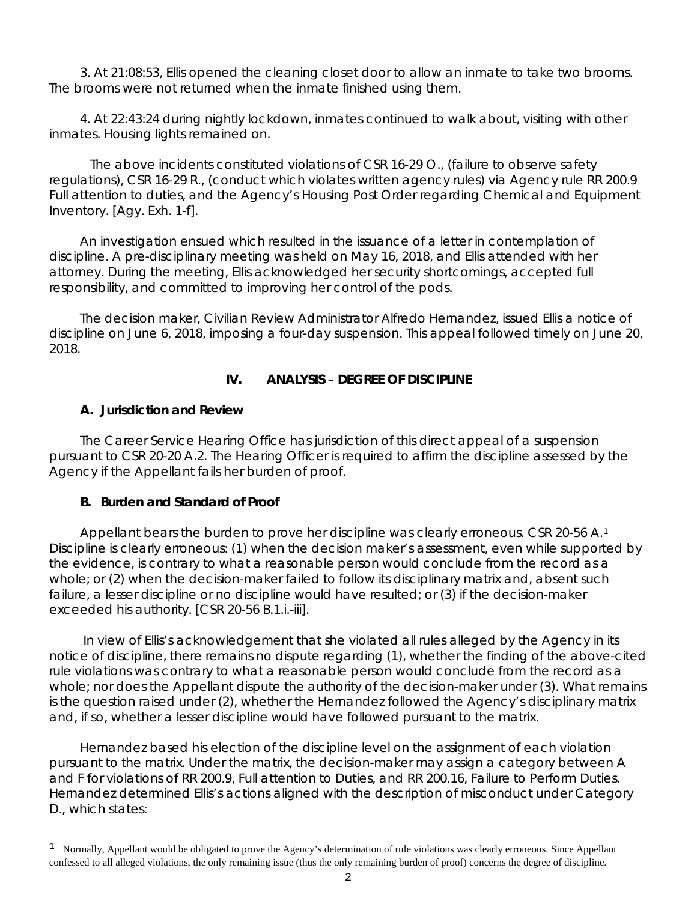3. At 21:08:53, Ellis opened the cleaning closet door to allow an inmate to take two brooms. The brooms were not returned when the inmate finished using them.

4. At 22:43:24 during nightly lockdown, inmates continued to walk about, visiting with other inmates. Housing lights remained on.

The above incidents constituted violations of CSR 16-29 O., (failure to observe safety regulations), CSR 16-29 R., (conduct which violates written agency rules) via Agency rule RR 200.9 Full attention to duties, and the Agency's Housing Post Order regarding Chemical and Equipment Inventory. [Agy. Exh. 1-f].

An investigation ensued which resulted in the issuance of a letter in contemplation of discipline. A pre-disciplinary meeting was held on May 16, 2018, and Ellis attended with her attorney. During the meeting, Ellis acknowledged her security shortcomings, accepted full responsibility, and committed to improving her control of the pods.

The decision maker, Civilian Review Administrator Alfredo Hernandez, issued Ellis a notice of discipline on June 6, 2018, imposing a four-day suspension. This appeal followed timely on June 20, 2018.

# **IV. ANALYSIS – DEGREE OF DISCIPLINE**

# **A. Jurisdiction and Review**

i<br>L

The Career Service Hearing Office has jurisdiction of this direct appeal of a suspension pursuant to CSR 20-20 A.2. The Hearing Officer is required to affirm the discipline assessed by the Agency if the Appellant fails her burden of proof.

# **B. Burden and Standard of Proof**

Appellant bears the burden to prove her discipline was clearly erroneous. CSR 20-56 A.<sup>[1](#page-1-0)</sup> Discipline is clearly erroneous: (1) when the decision maker's assessment, even while supported by the evidence, is contrary to what a reasonable person would conclude from the record as a whole; or (2) when the decision-maker failed to follow its disciplinary matrix and, absent such failure, a lesser discipline or no discipline would have resulted; or (3) if the decision-maker exceeded his authority. [CSR 20-56 B.1.i.-iii].

In view of Ellis's acknowledgement that she violated all rules alleged by the Agency in its notice of discipline, there remains no dispute regarding (1), whether the finding of the above-cited rule violations was contrary to what a reasonable person would conclude from the record as a whole; nor does the Appellant dispute the authority of the decision-maker under (3). What remains is the question raised under (2), whether the Hernandez followed the Agency's disciplinary matrix and, if so, whether a lesser discipline would have followed pursuant to the matrix.

Hernandez based his election of the discipline level on the assignment of each violation pursuant to the matrix. Under the matrix, the decision-maker may assign a category between A and F for violations of RR 200.9, Full attention to Duties, and RR 200.16, Failure to Perform Duties. Hernandez determined Ellis's actions aligned with the description of misconduct under Category D., which states:

<span id="page-1-0"></span> $1$  Normally, Appellant would be obligated to prove the Agency's determination of rule violations was clearly erroneous. Since Appellant confessed to all alleged violations, the only remaining issue (thus the only remaining burden of proof) concerns the degree of discipline.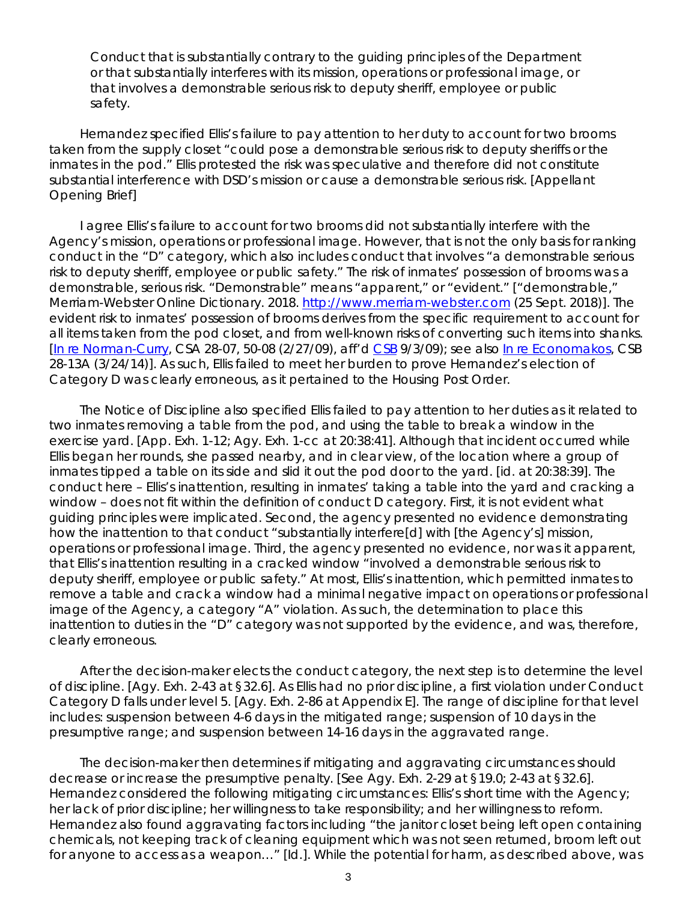*Conduct that is substantially contrary to the guiding principles of the Department or that substantially interferes with its mission, operations or professional image, or that involves a demonstrable serious risk to deputy sheriff, employee or public safety.*

Hernandez specified Ellis's failure to pay attention to her duty to account for two brooms taken from the supply closet "could pose a demonstrable serious risk to deputy sheriffs or the inmates in the pod." Ellis protested the risk was speculative and therefore did not constitute substantial interference with DSD's mission or cause a demonstrable serious risk. [Appellant Opening Brief]

I agree Ellis's failure to account for two brooms did not substantially interfere with the Agency's mission, operations or professional image. However, that is not the only basis for ranking conduct in the "D" category, which also includes conduct that involves "a demonstrable serious risk to deputy sheriff, employee or public safety." The risk of inmates' possession of brooms was a demonstrable, serious risk. "Demonstrable" means "apparent," or "evident." ["demonstrable," Merriam-Webster Online Dictionary. 2018. [http://www.merriam-webster.com](http://www.merriam-webster.com/) (25 Sept. 2018)]. The evident risk to inmates' possession of brooms derives from the specific requirement to account for all items taken from the pod closet, and from well-known risks of converting such items into shanks. [\[In re Norman-Curry,](https://www.denvergov.org/content/dam/denvergov/Portals/hearings_office/documents/Hearings/Norman-Curry_S_28-07_50-08_Decision..pdf) CSA 28-07, 50-08 (2/27/09), *aff'd* [CSB](https://www.denvergov.org/content/dam/denvergov/Portals/hearings_office/documents/Hearings/Norman-Curry_S_28-07_50-08_Board.pdf) 9/3/09); *see also* [In re Economakos,](https://www.denvergov.org/content/dam/denvergov/Portals/hearings_office/documents/Hearings/Economakos_Steve_28-13_CSB_Decision_and_Order.pdf) CSB 28-13A (3/24/14)]. As such, Ellis failed to meet her burden to prove Hernandez's election of Category D was clearly erroneous, as it pertained to the Housing Post Order.

The Notice of Discipline also specified Ellis failed to pay attention to her duties as it related to two inmates removing a table from the pod, and using the table to break a window in the exercise yard. [App. Exh. 1-12; Agy. Exh. 1-cc at 20:38:41]. Although that incident occurred while Ellis began her rounds, she passed nearby, and in clear view, of the location where a group of inmates tipped a table on its side and slid it out the pod door to the yard. [*id.* at 20:38:39]. The conduct here – Ellis's inattention, resulting in inmates' taking a table into the yard and cracking a window – does not fit within the definition of conduct D category. First, it is not evident what guiding principles were implicated. Second, the agency presented no evidence demonstrating how the inattention to that conduct "substantially interfere[d] with [the Agency's] mission, operations or professional image. Third, the agency presented no evidence, nor was it apparent, that Ellis's inattention resulting in a cracked window "involved a demonstrable serious risk to deputy sheriff, employee or public safety." At most, Ellis's inattention, which permitted inmates to remove a table and crack a window had a minimal negative impact on operations or professional image of the Agency, a category "A" violation. As such, the determination to place this inattention to duties in the "D" category was not supported by the evidence, and was, therefore, clearly erroneous.

After the decision-maker elects the conduct category, the next step is to determine the level of discipline. [Agy. Exh. 2-43 at §32.6]. As Ellis had no prior discipline, a first violation under Conduct Category D falls under level 5. [Agy. Exh. 2-86 at Appendix E]. The range of discipline for that level includes: suspension between 4-6 days in the mitigated range; suspension of 10 days in the presumptive range; and suspension between 14-16 days in the aggravated range.

The decision-maker then determines if mitigating and aggravating circumstances should decrease or increase the presumptive penalty. [*See* Agy. Exh. 2-29 at §19.0; 2-43 at §32.6]. Hernandez considered the following mitigating circumstances: Ellis's short time with the Agency; her lack of prior discipline; her willingness to take responsibility; and her willingness to reform. Hernandez also found aggravating factors including "the janitor closet being left open containing chemicals, not keeping track of cleaning equipment which was not seen returned, broom left out for anyone to access as a weapon…" [*Id.*]. While the potential for harm, as described above, was